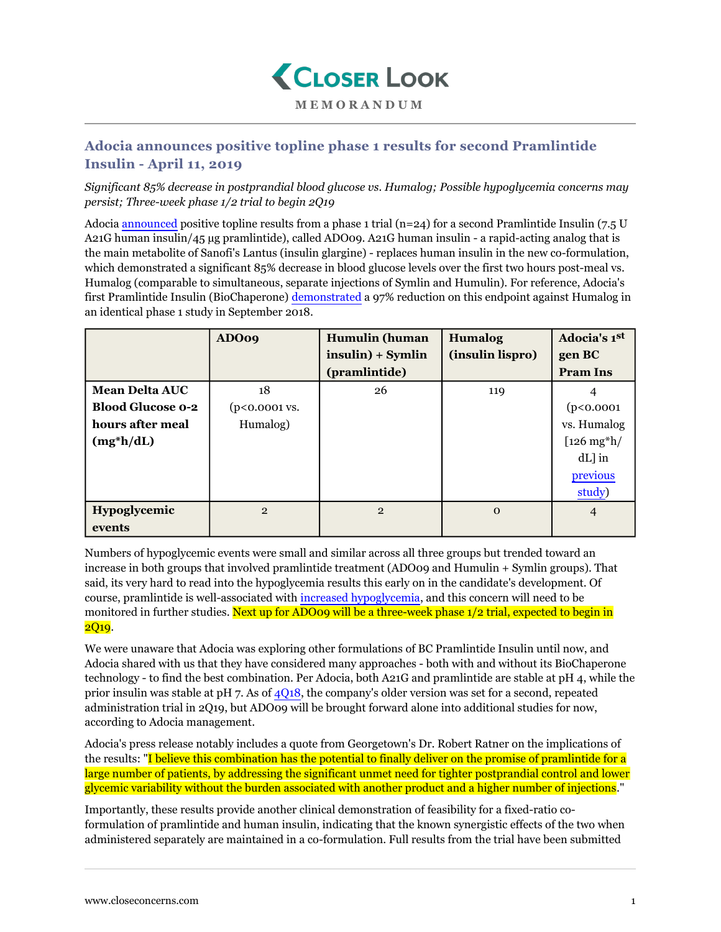

## **MEMORANDUM**

## **Adocia announces positive topline phase 1 results for second Pramlintide Insulin - April 11, 2019**

*Significant 85% decrease in postprandial blood glucose vs. Humalog; Possible hypoglycemia concerns may persist; Three-week phase 1/2 trial to begin 2Q19*

Adocia [announced](https://www.adocia.com/wp-content/uploads/2019/04/190409-Pram-Ins-Results-FIH-VF.pdf) positive topline results from a phase 1 trial  $(n=24)$  for a second Pramlintide Insulin (7.5 U A21G human insulin/45 µg pramlintide), called ADO09. A21G human insulin - a rapid-acting analog that is the main metabolite of Sanofi's Lantus (insulin glargine) - replaces human insulin in the new co-formulation, which demonstrated a significant 85% decrease in blood glucose levels over the first two hours post-meal vs. Humalog (comparable to simultaneous, separate injections of Symlin and Humulin). For reference, Adocia's first Pramlintide Insulin (BioChaperone) [demonstrated](https://www.closeconcerns.com/knowledgebase/r/4b0ed87b) a 97% reduction on this endpoint against Humalog in an identical phase 1 study in September 2018.

|                          | ADO09                   | <b>Humulin</b> (human | <b>Humalog</b>   | Adocia's 1st         |
|--------------------------|-------------------------|-----------------------|------------------|----------------------|
|                          |                         | $insulin) + Symlin$   | (insulin lispro) | gen BC               |
|                          |                         | (pramlintide)         |                  | <b>Pram Ins</b>      |
| <b>Mean Delta AUC</b>    | 18                      | 26                    | 119              |                      |
| <b>Blood Glucose 0-2</b> | $(p<0.0001 \text{ vs.}$ |                       |                  | (p<0.0001            |
| hours after meal         | Humalog)                |                       |                  | vs. Humalog          |
| $(mg^*h/dL)$             |                         |                       |                  | $[126 \text{ mg*}h]$ |
|                          |                         |                       |                  | $dL$ ] in            |
|                          |                         |                       |                  | previous             |
|                          |                         |                       |                  | study)               |
| Hypoglycemic             | $\mathbf{2}$            | $\overline{2}$        | $\Omega$         | 4                    |
| events                   |                         |                       |                  |                      |

Numbers of hypoglycemic events were small and similar across all three groups but trended toward an increase in both groups that involved pramlintide treatment (ADO09 and Humulin + Symlin groups). That said, its very hard to read into the hypoglycemia results this early on in the candidate's development. Of course, pramlintide is well-associated with [increased hypoglycemia,](https://www.ncbi.nlm.nih.gov/pubmed/16330288) and this concern will need to be monitored in further studies. Next up for ADO09 will be a three-week phase 1/2 trial, expected to begin in 2Q<sub>19</sub>.

We were unaware that Adocia was exploring other formulations of BC Pramlintide Insulin until now, and Adocia shared with us that they have considered many approaches - both with and without its BioChaperone technology - to find the best combination. Per Adocia, both A21G and pramlintide are stable at pH 4, while the prior insulin was stable at pH 7. As of [4Q18,](https://www.closeconcerns.com/knowledgebase/r/371c8bb0#BioChaperone_Pramlintide_Insulin:_Second_Phase_12_Trial_Pushed_Slightly_Back_to_2Q19_Following_Positive_Phase_1_Results) the company's older version was set for a second, repeated administration trial in 2Q19, but ADO09 will be brought forward alone into additional studies for now, according to Adocia management.

Adocia's press release notably includes a quote from Georgetown's Dr. Robert Ratner on the implications of the results: "I believe this combination has the potential to finally deliver on the promise of pramlintide for a large number of patients, by addressing the significant unmet need for tighter postprandial control and lower glycemic variability without the burden associated with another product and a higher number of injections."

Importantly, these results provide another clinical demonstration of feasibility for a fixed-ratio coformulation of pramlintide and human insulin, indicating that the known synergistic effects of the two when administered separately are maintained in a co-formulation. Full results from the trial have been submitted